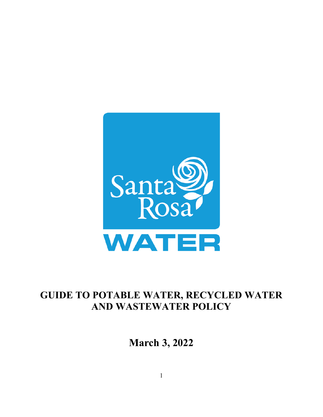

# **GUIDE TO POTABLE WATER, RECYCLED WATER AND WASTEWATER POLICY**

**March 3, 2022**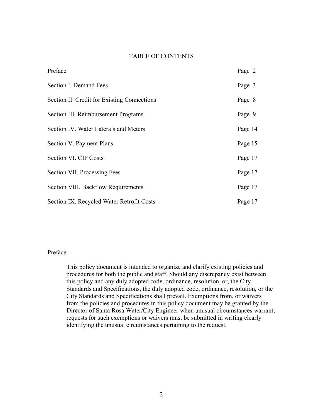## TABLE OF CONTENTS

| Preface                                     | Page 2  |
|---------------------------------------------|---------|
| Section I. Demand Fees                      | Page 3  |
| Section II. Credit for Existing Connections | Page 8  |
| Section III. Reimbursement Programs         | Page 9  |
| Section IV. Water Laterals and Meters       | Page 14 |
| Section V. Payment Plans                    | Page 15 |
| Section VI. CIP Costs                       | Page 17 |
| Section VII. Processing Fees                | Page 17 |
| <b>Section VIII. Backflow Requirements</b>  | Page 17 |
| Section IX. Recycled Water Retrofit Costs   | Page 17 |

#### Preface

This policy document is intended to organize and clarify existing policies and procedures for both the public and staff. Should any discrepancy exist between this policy and any duly adopted code, ordinance, resolution, or, the City Standards and Specifications, the duly adopted code, ordinance, resolution, or the City Standards and Specifications shall prevail. Exemptions from, or waivers from the policies and procedures in this policy document may be granted by the Director of Santa Rosa Water/City Engineer when unusual circumstances warrant; requests for such exemptions or waivers must be submitted in writing clearly identifying the unusual circumstances pertaining to the request.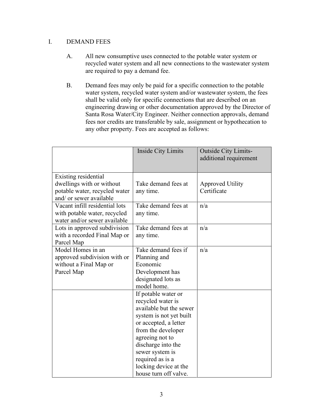## I. DEMAND FEES

- A. All new consumptive uses connected to the potable water system or recycled water system and all new connections to the wastewater system are required to pay a demand fee.
- B. Demand fees may only be paid for a specific connection to the potable water system, recycled water system and/or wastewater system, the fees shall be valid only for specific connections that are described on an engineering drawing or other documentation approved by the Director of Santa Rosa Water/City Engineer. Neither connection approvals, demand fees nor credits are transferable by sale, assignment or hypothecation to any other property. Fees are accepted as follows:

|                                                                                                               | <b>Inside City Limits</b>                                                                                                                                                                                                                                                       | <b>Outside City Limits-</b><br>additional requirement |
|---------------------------------------------------------------------------------------------------------------|---------------------------------------------------------------------------------------------------------------------------------------------------------------------------------------------------------------------------------------------------------------------------------|-------------------------------------------------------|
| Existing residential<br>dwellings with or without<br>potable water, recycled water<br>and/ or sewer available | Take demand fees at<br>any time.                                                                                                                                                                                                                                                | <b>Approved Utility</b><br>Certificate                |
| Vacant infill residential lots<br>with potable water, recycled<br>water and/or sewer available                | Take demand fees at<br>any time.                                                                                                                                                                                                                                                | n/a                                                   |
| Lots in approved subdivision<br>with a recorded Final Map or<br>Parcel Map                                    | Take demand fees at<br>any time.                                                                                                                                                                                                                                                | n/a                                                   |
| Model Homes in an<br>approved subdivision with or<br>without a Final Map or<br>Parcel Map                     | Take demand fees if<br>Planning and<br>Economic<br>Development has<br>designated lots as<br>model home.                                                                                                                                                                         | n/a                                                   |
|                                                                                                               | If potable water or<br>recycled water is<br>available but the sewer<br>system is not yet built<br>or accepted, a letter<br>from the developer<br>agreeing not to<br>discharge into the<br>sewer system is<br>required as is a<br>locking device at the<br>house turn off valve. |                                                       |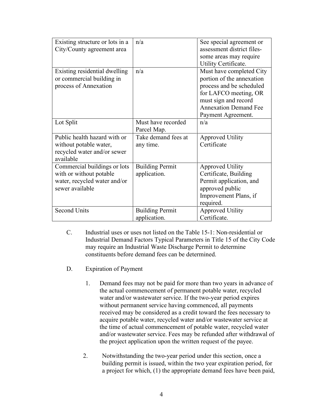|                                 | n/a                    |                              |
|---------------------------------|------------------------|------------------------------|
| Existing structure or lots in a |                        | See special agreement or     |
| City/County agreement area      |                        | assessment district files-   |
|                                 |                        | some areas may require       |
|                                 |                        | Utility Certificate.         |
| Existing residential dwelling   | n/a                    | Must have completed City     |
| or commercial building in       |                        | portion of the annexation    |
| process of Annexation           |                        | process and be scheduled     |
|                                 |                        | for LAFCO meeting, OR        |
|                                 |                        | must sign and record         |
|                                 |                        | <b>Annexation Demand Fee</b> |
|                                 |                        | Payment Agreement.           |
| Lot Split                       | Must have recorded     | n/a                          |
|                                 | Parcel Map.            |                              |
| Public health hazard with or    | Take demand fees at    | <b>Approved Utility</b>      |
| without potable water,          | any time.              | Certificate                  |
| recycled water and/or sewer     |                        |                              |
| available                       |                        |                              |
| Commercial buildings or lots    | <b>Building Permit</b> | <b>Approved Utility</b>      |
| with or without potable         | application.           | Certificate, Building        |
| water, recycled water and/or    |                        | Permit application, and      |
| sewer available                 |                        | approved public              |
|                                 |                        |                              |
|                                 |                        | Improvement Plans, if        |
|                                 |                        | required.                    |
| <b>Second Units</b>             | <b>Building Permit</b> | <b>Approved Utility</b>      |
|                                 | application.           | Certificate.                 |

- C. Industrial uses or uses not listed on the Table 15-1: Non-residential or Industrial Demand Factors Typical Parameters in Title 15 of the City Code may require an Industrial Waste Discharge Permit to determine constituents before demand fees can be determined.
- D. Expiration of Payment
	- 1. Demand fees may not be paid for more than two years in advance of the actual commencement of permanent potable water, recycled water and/or wastewater service. If the two-year period expires without permanent service having commenced, all payments received may be considered as a credit toward the fees necessary to acquire potable water, recycled water and/or wastewater service at the time of actual commencement of potable water, recycled water and/or wastewater service. Fees may be refunded after withdrawal of the project application upon the written request of the payee.
	- 2. Notwithstanding the two-year period under this section, once a building permit is issued, within the two year expiration period, for a project for which, (1) the appropriate demand fees have been paid,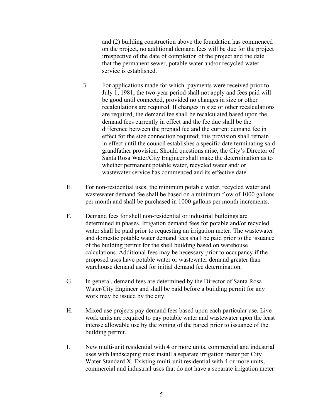and (2) building construction above the foundation has commenced on the project, no additional demand fees will be due for the project irrespective of the date of completion of the project and the date that the permanent sewer, potable water and/or recycled water service is established.

- 3. For applications made for which payments were received prior to July 1, 1981, the two-year period shall not apply and fees paid will be good until connected, provided no changes in size or other recalculations are required. If changes in size or other recalculations are required, the demand fee shall be recalculated based upon the demand fees currently in effect and the fee due shall be the difference between the prepaid fee and the current demand fee in effect for the size connection required; this provision shall remain in effect until the council establishes a specific date terminating said grandfather provision. Should questions arise, the City's Director of Santa Rosa Water/City Engineer shall make the determination as to whether permanent potable water, recycled water and/ or wastewater service has commenced and its effective date.
- E. For non-residential uses, the minimum potable water, recycled water and wastewater demand fee shall be based on a minimum flow of 1000 gallons per month and shall be purchased in 1000 gallons per month increments.
- F. Demand fees for shell non-residential or industrial buildings are determined in phases. Irrigation demand fees for potable and/or recycled water shall be paid prior to requesting an irrigation meter. The wastewater and domestic potable water demand fees shall be paid prior to the issuance of the building permit for the shell building based on warehouse calculations. Additional fees may be necessary prior to occupancy if the proposed uses have potable water or wastewater demand greater than warehouse demand used for initial demand fee determination.
- G. In general, demand fees are determined by the Director of Santa Rosa Water/City Engineer and shall be paid before a building permit for any work may be issued by the city.
- H. Mixed use projects pay demand fees based upon each particular use. Live work units are required to pay potable water and wastewater upon the least intense allowable use by the zoning of the parcel prior to issuance of the building permit.
- I. New multi-unit residential with 4 or more units, commercial and industrial uses with landscaping must install a separate irrigation meter per City Water Standard X. Existing multi-unit residential with 4 or more units, commercial and industrial uses that do not have a separate irrigation meter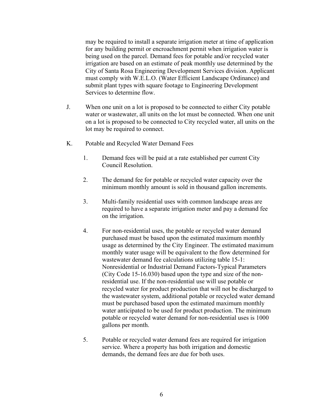may be required to install a separate irrigation meter at time of application for any building permit or encroachment permit when irrigation water is being used on the parcel. Demand fees for potable and/or recycled water irrigation are based on an estimate of peak monthly use determined by the City of Santa Rosa Engineering Development Services division. Applicant must comply with W.E.L.O. (Water Efficient Landscape Ordinance) and submit plant types with square footage to Engineering Development Services to determine flow.

- J. When one unit on a lot is proposed to be connected to either City potable water or wastewater, all units on the lot must be connected. When one unit on a lot is proposed to be connected to City recycled water, all units on the lot may be required to connect.
- K. Potable and Recycled Water Demand Fees
	- 1. Demand fees will be paid at a rate established per current City Council Resolution.
	- 2. The demand fee for potable or recycled water capacity over the minimum monthly amount is sold in thousand gallon increments.
	- 3. Multi-family residential uses with common landscape areas are required to have a separate irrigation meter and pay a demand fee on the irrigation.
	- 4. For non-residential uses, the potable or recycled water demand purchased must be based upon the estimated maximum monthly usage as determined by the City Engineer. The estimated maximum monthly water usage will be equivalent to the flow determined for wastewater demand fee calculations utilizing table 15-1: Nonresidential or Industrial Demand Factors-Typical Parameters (City Code 15-16.030) based upon the type and size of the nonresidential use. If the non-residential use will use potable or recycled water for product production that will not be discharged to the wastewater system, additional potable or recycled water demand must be purchased based upon the estimated maximum monthly water anticipated to be used for product production. The minimum potable or recycled water demand for non-residential uses is 1000 gallons per month.
	- 5. Potable or recycled water demand fees are required for irrigation service. Where a property has both irrigation and domestic demands, the demand fees are due for both uses.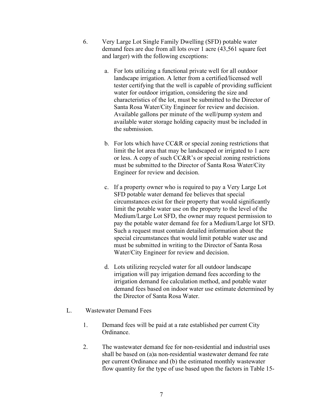- 6. Very Large Lot Single Family Dwelling (SFD) potable water demand fees are due from all lots over 1 acre (43,561 square feet and larger) with the following exceptions:
	- a. For lots utilizing a functional private well for all outdoor landscape irrigation. A letter from a certified/licensed well tester certifying that the well is capable of providing sufficient water for outdoor irrigation, considering the size and characteristics of the lot, must be submitted to the Director of Santa Rosa Water/City Engineer for review and decision. Available gallons per minute of the well/pump system and available water storage holding capacity must be included in the submission.
	- b. For lots which have CC&R or special zoning restrictions that limit the lot area that may be landscaped or irrigated to 1 acre or less. A copy of such CC&R's or special zoning restrictions must be submitted to the Director of Santa Rosa Water/City Engineer for review and decision.
	- c. If a property owner who is required to pay a Very Large Lot SFD potable water demand fee believes that special circumstances exist for their property that would significantly limit the potable water use on the property to the level of the Medium/Large Lot SFD, the owner may request permission to pay the potable water demand fee for a Medium/Large lot SFD. Such a request must contain detailed information about the special circumstances that would limit potable water use and must be submitted in writing to the Director of Santa Rosa Water/City Engineer for review and decision.
	- d. Lots utilizing recycled water for all outdoor landscape irrigation will pay irrigation demand fees according to the irrigation demand fee calculation method, and potable water demand fees based on indoor water use estimate determined by the Director of Santa Rosa Water.
- L. Wastewater Demand Fees
	- 1. Demand fees will be paid at a rate established per current City Ordinance.
	- 2. The wastewater demand fee for non-residential and industrial uses shall be based on (a)a non-residential wastewater demand fee rate per current Ordinance and (b) the estimated monthly wastewater flow quantity for the type of use based upon the factors in Table 15-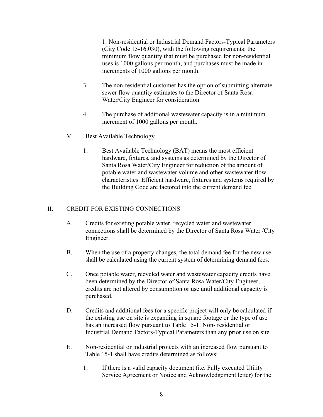1: Non-residential or Industrial Demand Factors-Typical Parameters (City Code 15-16.030), with the following requirements: the minimum flow quantity that must be purchased for non-residential uses is 1000 gallons per month, and purchases must be made in increments of 1000 gallons per month.

- 3. The non-residential customer has the option of submitting alternate sewer flow quantity estimates to the Director of Santa Rosa Water/City Engineer for consideration.
- 4. The purchase of additional wastewater capacity is in a minimum increment of 1000 gallons per month.
- M. Best Available Technology
	- 1. Best Available Technology (BAT) means the most efficient hardware, fixtures, and systems as determined by the Director of Santa Rosa Water/City Engineer for reduction of the amount of potable water and wastewater volume and other wastewater flow characteristics. Efficient hardware, fixtures and systems required by the Building Code are factored into the current demand fee.

# II. CREDIT FOR EXISTING CONNECTIONS

- A. Credits for existing potable water, recycled water and wastewater connections shall be determined by the Director of Santa Rosa Water /City Engineer.
- B. When the use of a property changes, the total demand fee for the new use shall be calculated using the current system of determining demand fees.
- C. Once potable water, recycled water and wastewater capacity credits have been determined by the Director of Santa Rosa Water/City Engineer, credits are not altered by consumption or use until additional capacity is purchased.
- D. Credits and additional fees for a specific project will only be calculated if the existing use on site is expanding in square footage or the type of use has an increased flow pursuant to Table 15-1: Non- residential or Industrial Demand Factors-Typical Parameters than any prior use on site.
- E. Non-residential or industrial projects with an increased flow pursuant to Table 15-1 shall have credits determined as follows:
	- 1. If there is a valid capacity document (i.e. Fully executed Utility Service Agreement or Notice and Acknowledgement letter) for the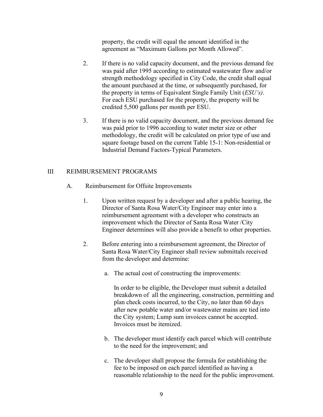property, the credit will equal the amount identified in the agreement as "Maximum Gallons per Month Allowed".

- 2. If there is no valid capacity document, and the previous demand fee was paid after 1995 according to estimated wastewater flow and/or strength methodology specified in City Code, the credit shall equal the amount purchased at the time, or subsequently purchased, for the property in terms of Equivalent Single Family Unit (*ESU's)*. For each ESU purchased for the property, the property will be credited 5,500 gallons per month per ESU.
- 3. If there is no valid capacity document, and the previous demand fee was paid prior to 1996 according to water meter size or other methodology, the credit will be calculated on prior type of use and square footage based on the current Table 15-1: Non-residential or Industrial Demand Factors-Typical Parameters.

## III REIMBURSEMENT PROGRAMS

- A. Reimbursement for Offsite Improvements
	- 1. Upon written request by a developer and after a public hearing, the Director of Santa Rosa Water/City Engineer may enter into a reimbursement agreement with a developer who constructs an improvement which the Director of Santa Rosa Water /City Engineer determines will also provide a benefit to other properties.
	- 2. Before entering into a reimbursement agreement, the Director of Santa Rosa Water/City Engineer shall review submittals received from the developer and determine:
		- a. The actual cost of constructing the improvements:

In order to be eligible, the Developer must submit a detailed breakdown of all the engineering, construction, permitting and plan check costs incurred, to the City, no later than 60 days after new potable water and/or wastewater mains are tied into the City system; Lump sum invoices cannot be accepted. Invoices must be itemized.

- b. The developer must identify each parcel which will contribute to the need for the improvement; and
- c. The developer shall propose the formula for establishing the fee to be imposed on each parcel identified as having a reasonable relationship to the need for the public improvement.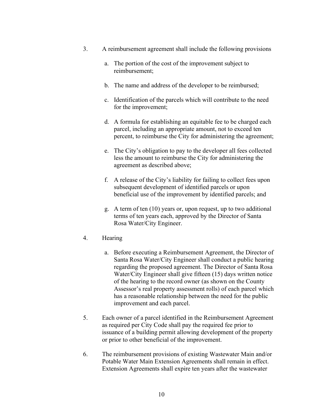- 3. A reimbursement agreement shall include the following provisions
	- a. The portion of the cost of the improvement subject to reimbursement;
	- b. The name and address of the developer to be reimbursed;
	- c. Identification of the parcels which will contribute to the need for the improvement;
	- d. A formula for establishing an equitable fee to be charged each parcel, including an appropriate amount, not to exceed ten percent, to reimburse the City for administering the agreement;
	- e. The City's obligation to pay to the developer all fees collected less the amount to reimburse the City for administering the agreement as described above;
	- f. A release of the City's liability for failing to collect fees upon subsequent development of identified parcels or upon beneficial use of the improvement by identified parcels; and
	- g. A term of ten (10) years or, upon request, up to two additional terms of ten years each, approved by the Director of Santa Rosa Water/City Engineer.
- 4. Hearing
	- a. Before executing a Reimbursement Agreement, the Director of Santa Rosa Water/City Engineer shall conduct a public hearing regarding the proposed agreement. The Director of Santa Rosa Water/City Engineer shall give fifteen (15) days written notice of the hearing to the record owner (as shown on the County Assessor's real property assessment rolls) of each parcel which has a reasonable relationship between the need for the public improvement and each parcel.
- 5. Each owner of a parcel identified in the Reimbursement Agreement as required per City Code shall pay the required fee prior to issuance of a building permit allowing development of the property or prior to other beneficial of the improvement.
- 6. The reimbursement provisions of existing Wastewater Main and/or Potable Water Main Extension Agreements shall remain in effect. Extension Agreements shall expire ten years after the wastewater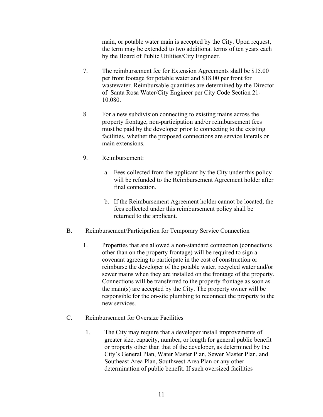main, or potable water main is accepted by the City. Upon request, the term may be extended to two additional terms of ten years each by the Board of Public Utilities/City Engineer.

- 7. The reimbursement fee for Extension Agreements shall be \$15.00 per front footage for potable water and \$18.00 per front for wastewater. Reimbursable quantities are determined by the Director of Santa Rosa Water/City Engineer per City Code Section 21- 10.080.
- 8. For a new subdivision connecting to existing mains across the property frontage, non-participation and/or reimbursement fees must be paid by the developer prior to connecting to the existing facilities, whether the proposed connections are service laterals or main extensions.
- 9. Reimbursement:
	- a. Fees collected from the applicant by the City under this policy will be refunded to the Reimbursement Agreement holder after final connection.
	- b. If the Reimbursement Agreement holder cannot be located, the fees collected under this reimbursement policy shall be returned to the applicant.
- B. Reimbursement/Participation for Temporary Service Connection
	- 1. Properties that are allowed a non-standard connection (connections other than on the property frontage) will be required to sign a covenant agreeing to participate in the cost of construction or reimburse the developer of the potable water, recycled water and/or sewer mains when they are installed on the frontage of the property. Connections will be transferred to the property frontage as soon as the main(s) are accepted by the City. The property owner will be responsible for the on-site plumbing to reconnect the property to the new services.
- C. Reimbursement for Oversize Facilities
	- 1. The City may require that a developer install improvements of greater size, capacity, number, or length for general public benefit or property other than that of the developer, as determined by the City's General Plan, Water Master Plan, Sewer Master Plan, and Southeast Area Plan, Southwest Area Plan or any other determination of public benefit. If such oversized facilities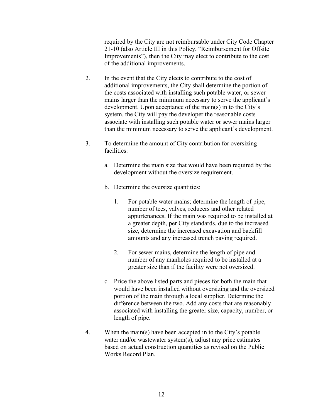required by the City are not reimbursable under City Code Chapter 21-10 (also Article III in this Policy, "Reimbursement for Offsite Improvements"), then the City may elect to contribute to the cost of the additional improvements.

- 2. In the event that the City elects to contribute to the cost of additional improvements, the City shall determine the portion of the costs associated with installing such potable water, or sewer mains larger than the minimum necessary to serve the applicant's development. Upon acceptance of the main(s) in to the City's system, the City will pay the developer the reasonable costs associate with installing such potable water or sewer mains larger than the minimum necessary to serve the applicant's development.
- 3. To determine the amount of City contribution for oversizing facilities:
	- a. Determine the main size that would have been required by the development without the oversize requirement.
	- b. Determine the oversize quantities:
		- 1. For potable water mains; determine the length of pipe, number of tees, valves, reducers and other related appurtenances. If the main was required to be installed at a greater depth, per City standards, due to the increased size, determine the increased excavation and backfill amounts and any increased trench paving required.
		- 2. For sewer mains, determine the length of pipe and number of any manholes required to be installed at a greater size than if the facility were not oversized.
	- c. Price the above listed parts and pieces for both the main that would have been installed without oversizing and the oversized portion of the main through a local supplier. Determine the difference between the two. Add any costs that are reasonably associated with installing the greater size, capacity, number, or length of pipe.
- 4. When the main(s) have been accepted in to the City's potable water and/or wastewater system(s), adjust any price estimates based on actual construction quantities as revised on the Public Works Record Plan.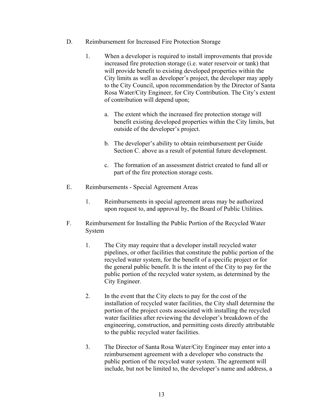- D. Reimbursement for Increased Fire Protection Storage
	- 1. When a developer is required to install improvements that provide increased fire protection storage (i.e. water reservoir or tank) that will provide benefit to existing developed properties within the City limits as well as developer's project, the developer may apply to the City Council, upon recommendation by the Director of Santa Rosa Water/City Engineer, for City Contribution. The City's extent of contribution will depend upon;
		- a. The extent which the increased fire protection storage will benefit existing developed properties within the City limits, but outside of the developer's project.
		- b. The developer's ability to obtain reimbursement per Guide Section C. above as a result of potential future development.
		- c. The formation of an assessment district created to fund all or part of the fire protection storage costs.
- E. Reimbursements Special Agreement Areas
	- 1. Reimbursements in special agreement areas may be authorized upon request to, and approval by, the Board of Public Utilities.
- F. Reimbursement for Installing the Public Portion of the Recycled Water System
	- 1. The City may require that a developer install recycled water pipelines, or other facilities that constitute the public portion of the recycled water system, for the benefit of a specific project or for the general public benefit. It is the intent of the City to pay for the public portion of the recycled water system, as determined by the City Engineer.
	- 2. In the event that the City elects to pay for the cost of the installation of recycled water facilities, the City shall determine the portion of the project costs associated with installing the recycled water facilities after reviewing the developer's breakdown of the engineering, construction, and permitting costs directly attributable to the public recycled water facilities.
	- 3. The Director of Santa Rosa Water/City Engineer may enter into a reimbursement agreement with a developer who constructs the public portion of the recycled water system. The agreement will include, but not be limited to, the developer's name and address, a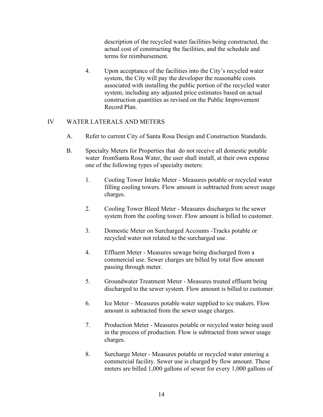description of the recycled water facilities being constructed, the actual cost of constructing the facilities, and the schedule and terms for reimbursement.

4. Upon acceptance of the facilities into the City's recycled water system, the City will pay the developer the reasonable costs associated with installing the public portion of the recycled water system, including any adjusted price estimates based on actual construction quantities as revised on the Public Improvement Record Plan.

# IV WATER LATERALS AND METERS

- A. Refer to current City of Santa Rosa Design and Construction Standards.
- B. Specialty Meters for Properties that do not receive all domestic potable water fromSanta Rosa Water, the user shall install, at their own expense one of the following types of specialty meters:
	- 1. Cooling Tower Intake Meter Measures potable or recycled water filling cooling towers. Flow amount is subtracted from sewer usage charges.
	- 2. Cooling Tower Bleed Meter Measures discharges to the sewer system from the cooling tower. Flow amount is billed to customer.
	- 3. Domestic Meter on Surcharged Accounts -Tracks potable or recycled water not related to the surcharged use.
	- 4. Effluent Meter Measures sewage being discharged from a commercial use. Sewer charges are billed by total flow amount passing through meter.
	- 5. Groundwater Treatment Meter Measures treated effluent being discharged to the sewer system. Flow amount is billed to customer.
	- 6. Ice Meter Measures potable water supplied to ice makers. Flow amount is subtracted from the sewer usage charges.
	- 7. Production Meter Measures potable or recycled water being used in the process of production. Flow is subtracted from sewer usage charges.
	- 8. Surcharge Meter Measures potable or recycled water entering a commercial facility. Sewer use is charged by flow amount. These meters are billed 1,000 gallons of sewer for every 1,000 gallons of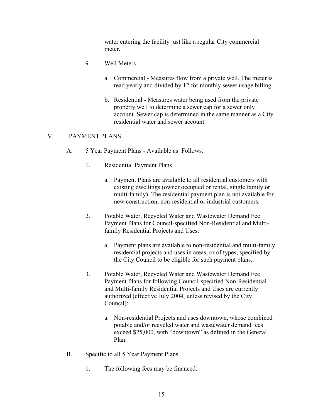water entering the facility just like a regular City commercial meter.

- 9. Well Meters
	- a. Commercial Measures flow from a private well. The meter is read yearly and divided by 12 for monthly sewer usage billing.
	- b. Residential Measures water being used from the private property well to determine a sewer cap for a sewer only account. Sewer cap is determined in the same manner as a City residential water and sewer account.

# V. PAYMENT PLANS

- A. 5 Year Payment Plans Available as Follows:
	- 1. Residential Payment Plans
		- a. Payment Plans are available to all residential customers with existing dwellings (owner occupied or rental, single family or multi-family). The residential payment plan is not available for new construction, non-residential or industrial customers.
	- 2. Potable Water, Recycled Water and Wastewater Demand Fee Payment Plans for Council-specified Non-Residential and Multifamily Residential Projects and Uses.
		- a. Payment plans are available to non-residential and multi-family residential projects and uses in areas, or of types, specified by the City Council to be eligible for such payment plans.
	- 3. Potable Water, Recycled Water and Wastewater Demand Fee Payment Plans for following Council-specified Non-Residential and Multi-family Residential Projects and Uses are currently authorized (effective July 2004, unless revised by the City Council):
		- a. Non-residential Projects and uses downtown, whose combined potable and/or recycled water and wastewater demand fees exceed \$25,000, with "downtown" as defined in the General Plan.
- B. Specific to all 5 Year Payment Plans
	- 1. The following fees may be financed: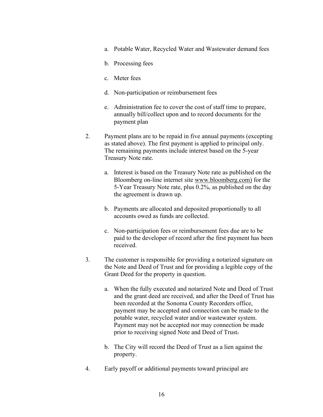- a. Potable Water, Recycled Water and Wastewater demand fees
- b. Processing fees
- c. Meter fees
- d. Non-participation or reimbursement fees
- e. Administration fee to cover the cost of staff time to prepare, annually bill/collect upon and to record documents for the payment plan
- 2. Payment plans are to be repaid in five annual payments (excepting as stated above). The first payment is applied to principal only. The remaining payments include interest based on the 5-year Treasury Note rate.
	- a. Interest is based on the Treasury Note rate as published on the Bloomberg on-line internet site [www.bloomberg.com\)](http://www.bloomberg.com/) for the 5-Year Treasury Note rate, plus 0.2%, as published on the day the agreement is drawn up.
	- b. Payments are allocated and deposited proportionally to all accounts owed as funds are collected.
	- c. Non-participation fees or reimbursement fees due are to be paid to the developer of record after the first payment has been received.
- 3. The customer is responsible for providing a notarized signature on the Note and Deed of Trust and for providing a legible copy of the Grant Deed for the property in question.
	- a. When the fully executed and notarized Note and Deed of Trust and the grant deed are received, and after the Deed of Trust has been recorded at the Sonoma County Recorders office, payment may be accepted and connection can be made to the potable water, recycled water and/or wastewater system. Payment may not be accepted nor may connection be made prior to receiving signed Note and Deed of Trust.
	- b. The City will record the Deed of Trust as a lien against the property.
- 4. Early payoff or additional payments toward principal are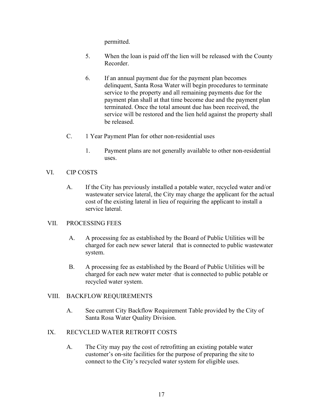permitted.

- 5. When the loan is paid off the lien will be released with the County Recorder.
- 6. If an annual payment due for the payment plan becomes delinquent, Santa Rosa Water will begin procedures to terminate service to the property and all remaining payments due for the payment plan shall at that time become due and the payment plan terminated. Once the total amount due has been received, the service will be restored and the lien held against the property shall be released.
- C. 1 Year Payment Plan for other non-residential uses
	- 1. Payment plans are not generally available to other non-residential uses.

## VI. CIP COSTS

A. If the City has previously installed a potable water, recycled water and/or wastewater service lateral, the City may charge the applicant for the actual cost of the existing lateral in lieu of requiring the applicant to install a service lateral.

## VII. PROCESSING FEES

- A. A processing fee as established by the Board of Public Utilities will be charged for each new sewer lateral that is connected to public wastewater system.
- B. A processing fee as established by the Board of Public Utilities will be charged for each new water meter-that is connected to public potable or recycled water system.

## VIII. BACKFLOW REQUIREMENTS

A. See current City Backflow Requirement Table provided by the City of Santa Rosa Water Quality Division.

## IX. RECYCLED WATER RETROFIT COSTS

A. The City may pay the cost of retrofitting an existing potable water customer's on-site facilities for the purpose of preparing the site to connect to the City's recycled water system for eligible uses.